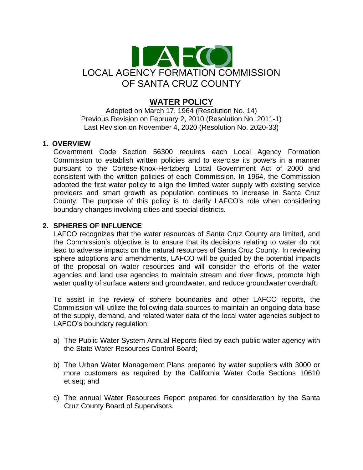

# **WATER POLICY**

Adopted on March 17, 1964 (Resolution No. 14) Previous Revision on February 2, 2010 (Resolution No. 2011-1) Last Revision on November 4, 2020 (Resolution No. 2020-33)

### **1. OVERVIEW**

Government Code Section 56300 requires each Local Agency Formation Commission to establish written policies and to exercise its powers in a manner pursuant to the Cortese-Knox-Hertzberg Local Government Act of 2000 and consistent with the written policies of each Commission. In 1964, the Commission adopted the first water policy to align the limited water supply with existing service providers and smart growth as population continues to increase in Santa Cruz County. The purpose of this policy is to clarify LAFCO's role when considering boundary changes involving cities and special districts.

## **2. SPHERES OF INFLUENCE**

LAFCO recognizes that the water resources of Santa Cruz County are limited, and the Commission's objective is to ensure that its decisions relating to water do not lead to adverse impacts on the natural resources of Santa Cruz County. In reviewing sphere adoptions and amendments, LAFCO will be guided by the potential impacts of the proposal on water resources and will consider the efforts of the water agencies and land use agencies to maintain stream and river flows, promote high water quality of surface waters and groundwater, and reduce groundwater overdraft.

To assist in the review of sphere boundaries and other LAFCO reports, the Commission will utilize the following data sources to maintain an ongoing data base of the supply, demand, and related water data of the local water agencies subject to LAFCO's boundary regulation:

- a) The Public Water System Annual Reports filed by each public water agency with the State Water Resources Control Board;
- b) The Urban Water Management Plans prepared by water suppliers with 3000 or more customers as required by the California Water Code Sections 10610 et.seq; and
- c) The annual Water Resources Report prepared for consideration by the Santa Cruz County Board of Supervisors.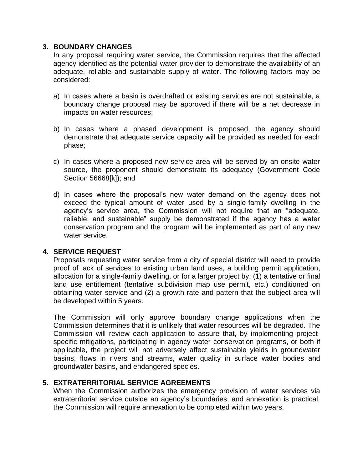### **3. BOUNDARY CHANGES**

In any proposal requiring water service, the Commission requires that the affected agency identified as the potential water provider to demonstrate the availability of an adequate, reliable and sustainable supply of water. The following factors may be considered:

- a) In cases where a basin is overdrafted or existing services are not sustainable, a boundary change proposal may be approved if there will be a net decrease in impacts on water resources;
- b) In cases where a phased development is proposed, the agency should demonstrate that adequate service capacity will be provided as needed for each phase;
- c) In cases where a proposed new service area will be served by an onsite water source, the proponent should demonstrate its adequacy (Government Code Section 56668[k]); and
- d) In cases where the proposal's new water demand on the agency does not exceed the typical amount of water used by a single-family dwelling in the agency's service area, the Commission will not require that an "adequate, reliable, and sustainable" supply be demonstrated if the agency has a water conservation program and the program will be implemented as part of any new water service.

### **4. SERVICE REQUEST**

Proposals requesting water service from a city of special district will need to provide proof of lack of services to existing urban land uses, a building permit application, allocation for a single-family dwelling, or for a larger project by: (1) a tentative or final land use entitlement (tentative subdivision map use permit, etc.) conditioned on obtaining water service and (2) a growth rate and pattern that the subject area will be developed within 5 years.

The Commission will only approve boundary change applications when the Commission determines that it is unlikely that water resources will be degraded. The Commission will review each application to assure that, by implementing projectspecific mitigations, participating in agency water conservation programs, or both if applicable, the project will not adversely affect sustainable yields in groundwater basins, flows in rivers and streams, water quality in surface water bodies and groundwater basins, and endangered species.

### **5. EXTRATERRITORIAL SERVICE AGREEMENTS**

When the Commission authorizes the emergency provision of water services via extraterritorial service outside an agency's boundaries, and annexation is practical, the Commission will require annexation to be completed within two years.